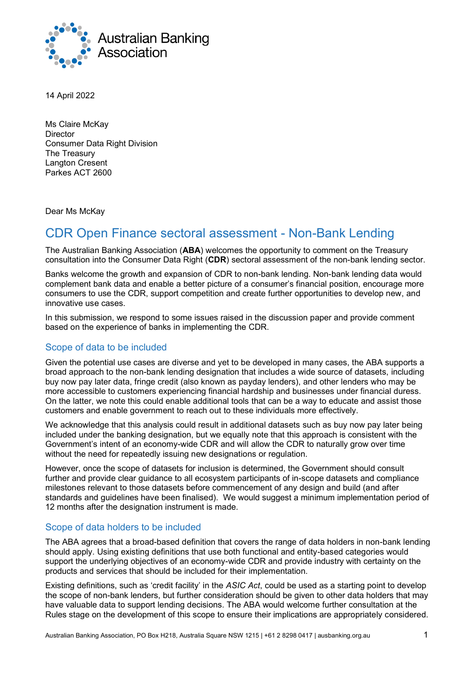

14 April 2022

Ms Claire McKay **Director** Consumer Data Right Division The Treasury Langton Cresent Parkes A[CT 2600](mailto:data@treasury.gov.au) 

Dear Ms McKay

# CDR Open Finance sectoral assessment - Non-Bank Lending

The Australian Banking Association (**ABA**) welcomes the opportunity to comment on the Treasury consultation into the Consumer Data Right (**CDR**) sectoral assessment of the non-bank lending sector.

Banks welcome the growth and expansion of CDR to non-bank lending. Non-bank lending data would complement bank data and enable a better picture of a consumer's financial position, encourage more consumers to use the CDR, support competition and create further opportunities to develop new, and innovative use cases.

In this submission, we respond to some issues raised in the discussion paper and provide comment based on the experience of banks in implementing the CDR.

#### Scope of data to be included

Given the potential use cases are diverse and yet to be developed in many cases, the ABA supports a broad approach to the non-bank lending designation that includes a wide source of datasets, including buy now pay later data, fringe credit (also known as payday lenders), and other lenders who may be more accessible to customers experiencing financial hardship and businesses under financial duress. On the latter, we note this could enable additional tools that can be a way to educate and assist those customers and enable government to reach out to these individuals more effectively.

We acknowledge that this analysis could result in additional datasets such as buy now pay later being included under the banking designation, but we equally note that this approach is consistent with the Government's intent of an economy-wide CDR and will allow the CDR to naturally grow over time without the need for repeatedly issuing new designations or regulation.

However, once the scope of datasets for inclusion is determined, the Government should consult further and provide clear guidance to all ecosystem participants of in-scope datasets and compliance milestones relevant to those datasets before commencement of any design and build (and after standards and guidelines have been finalised). We would suggest a minimum implementation period of 12 months after the designation instrument is made.

#### Scope of data holders to be included

The ABA agrees that a broad-based definition that covers the range of data holders in non-bank lending should apply. Using existing definitions that use both functional and entity-based categories would support the underlying objectives of an economy-wide CDR and provide industry with certainty on the products and services that should be included for their implementation.

Existing definitions, such as 'credit facility' in the *ASIC Act*, could be used as a starting point to develop the scope of non-bank lenders, but further consideration should be given to other data holders that may have valuable data to support lending decisions. The ABA would welcome further consultation at the Rules stage on the development of this scope to ensure their implications are appropriately considered.